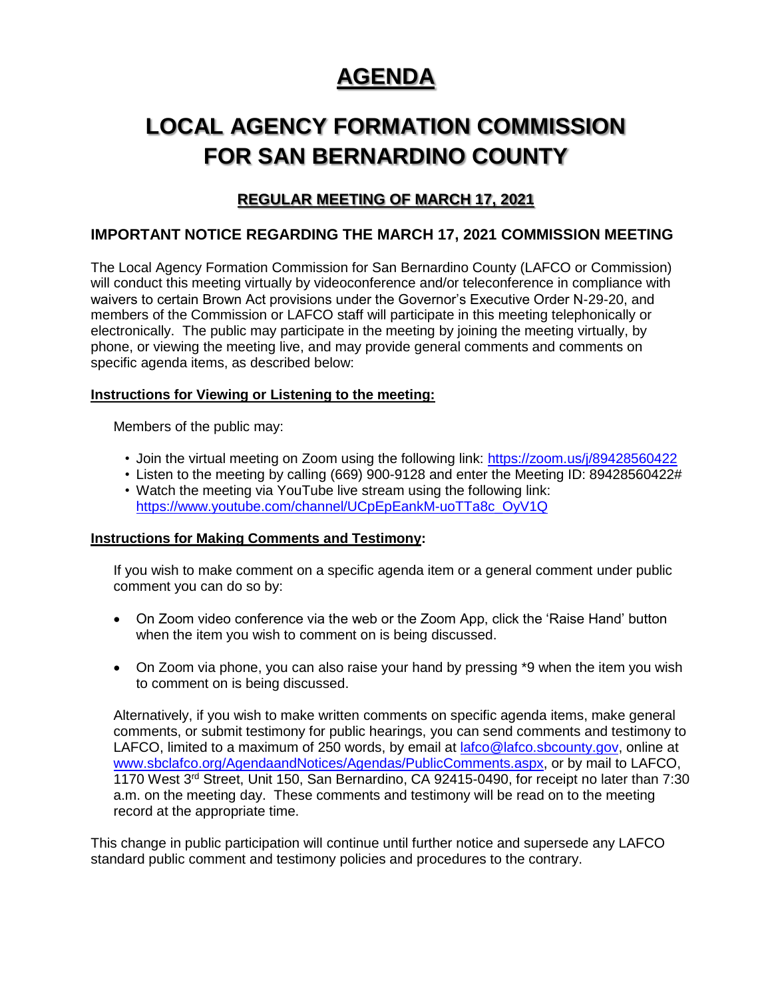# **AGENDA**

# **LOCAL AGENCY FORMATION COMMISSION FOR SAN BERNARDINO COUNTY**

# **REGULAR MEETING OF MARCH 17, 2021**

## **IMPORTANT NOTICE REGARDING THE MARCH 17, 2021 COMMISSION MEETING**

The Local Agency Formation Commission for San Bernardino County (LAFCO or Commission) will conduct this meeting virtually by videoconference and/or teleconference in compliance with waivers to certain Brown Act provisions under the Governor's Executive Order N-29-20, and members of the Commission or LAFCO staff will participate in this meeting telephonically or electronically. The public may participate in the meeting by joining the meeting virtually, by phone, or viewing the meeting live, and may provide general comments and comments on specific agenda items, as described below:

## **Instructions for Viewing or Listening to the meeting:**

Members of the public may:

- Join the virtual meeting on Zoom using the following link:<https://zoom.us/j/89428560422>
- Listen to the meeting by calling (669) 900-9128 and enter the Meeting ID: 89428560422# • Watch the meeting via YouTube live stream using the following link:
- [https://www.youtube.com/channel/UCpEpEankM-uoTTa8c\\_OyV1Q](https://www.youtube.com/channel/UCpEpEankM-uoTTa8c_OyV1Q)

## **Instructions for Making Comments and Testimony:**

If you wish to make comment on a specific agenda item or a general comment under public comment you can do so by:

- On Zoom video conference via the web or the Zoom App, click the 'Raise Hand' button when the item you wish to comment on is being discussed.
- On Zoom via phone, you can also raise your hand by pressing \*9 when the item you wish to comment on is being discussed.

Alternatively, if you wish to make written comments on specific agenda items, make general comments, or submit testimony for public hearings, you can send comments and testimony to LAFCO, limited to a maximum of 250 words, by email at [lafco@lafco.sbcounty.gov,](mailto:lafco@lafco.sbcounty.gov) online at [www.sbclafco.org/AgendaandNotices/Agendas/PublicComments.aspx,](http://www.sbclafco.org/AgendaandNotices/Agendas/PublicComments.aspx) or by mail to LAFCO, 1170 West 3<sup>rd</sup> Street, Unit 150, San Bernardino, CA 92415-0490, for receipt no later than 7:30 a.m. on the meeting day. These comments and testimony will be read on to the meeting record at the appropriate time.

This change in public participation will continue until further notice and supersede any LAFCO standard public comment and testimony policies and procedures to the contrary.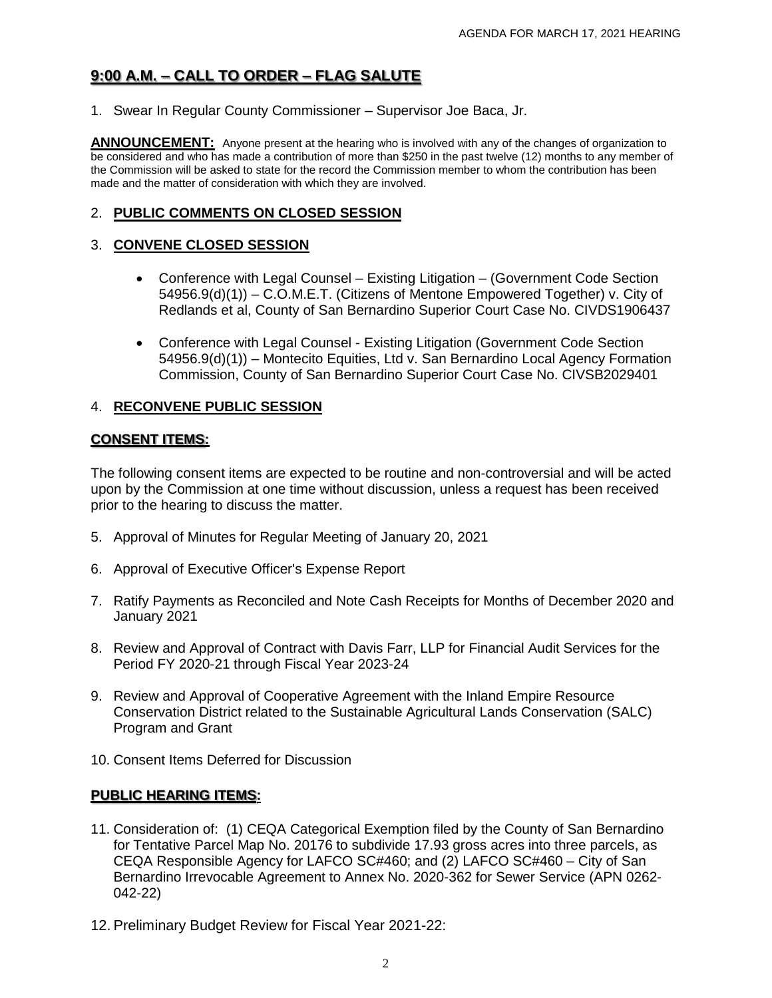## **9:00 A.M. – CALL TO ORDER – FLAG SALUTE**

1. Swear In Regular County Commissioner – Supervisor Joe Baca, Jr.

**ANNOUNCEMENT:** Anyone present at the hearing who is involved with any of the changes of organization to be considered and who has made a contribution of more than \$250 in the past twelve (12) months to any member of the Commission will be asked to state for the record the Commission member to whom the contribution has been made and the matter of consideration with which they are involved.

#### 2. **PUBLIC COMMENTS ON CLOSED SESSION**

#### 3. **CONVENE CLOSED SESSION**

- Conference with Legal Counsel Existing Litigation (Government Code Section 54956.9(d)(1)) – C.O.M.E.T. (Citizens of Mentone Empowered Together) v. City of Redlands et al, County of San Bernardino Superior Court Case No. CIVDS1906437
- Conference with Legal Counsel Existing Litigation (Government Code Section 54956.9(d)(1)) – Montecito Equities, Ltd v. San Bernardino Local Agency Formation Commission, County of San Bernardino Superior Court Case No. CIVSB2029401

#### 4. **RECONVENE PUBLIC SESSION**

#### **CONSENT ITEMS:**

The following consent items are expected to be routine and non-controversial and will be acted upon by the Commission at one time without discussion, unless a request has been received prior to the hearing to discuss the matter.

- 5. Approval of Minutes for Regular Meeting of January 20, 2021
- 6. Approval of Executive Officer's Expense Report
- 7. Ratify Payments as Reconciled and Note Cash Receipts for Months of December 2020 and January 2021
- 8. Review and Approval of Contract with Davis Farr, LLP for Financial Audit Services for the Period FY 2020-21 through Fiscal Year 2023-24
- 9. Review and Approval of Cooperative Agreement with the Inland Empire Resource Conservation District related to the Sustainable Agricultural Lands Conservation (SALC) Program and Grant
- 10. Consent Items Deferred for Discussion

## **PUBLIC HEARING ITEMS:**

- 11. Consideration of: (1) CEQA Categorical Exemption filed by the County of San Bernardino for Tentative Parcel Map No. 20176 to subdivide 17.93 gross acres into three parcels, as CEQA Responsible Agency for LAFCO SC#460; and (2) LAFCO SC#460 – City of San Bernardino Irrevocable Agreement to Annex No. 2020-362 for Sewer Service (APN 0262- 042-22)
- 12. Preliminary Budget Review for Fiscal Year 2021-22: